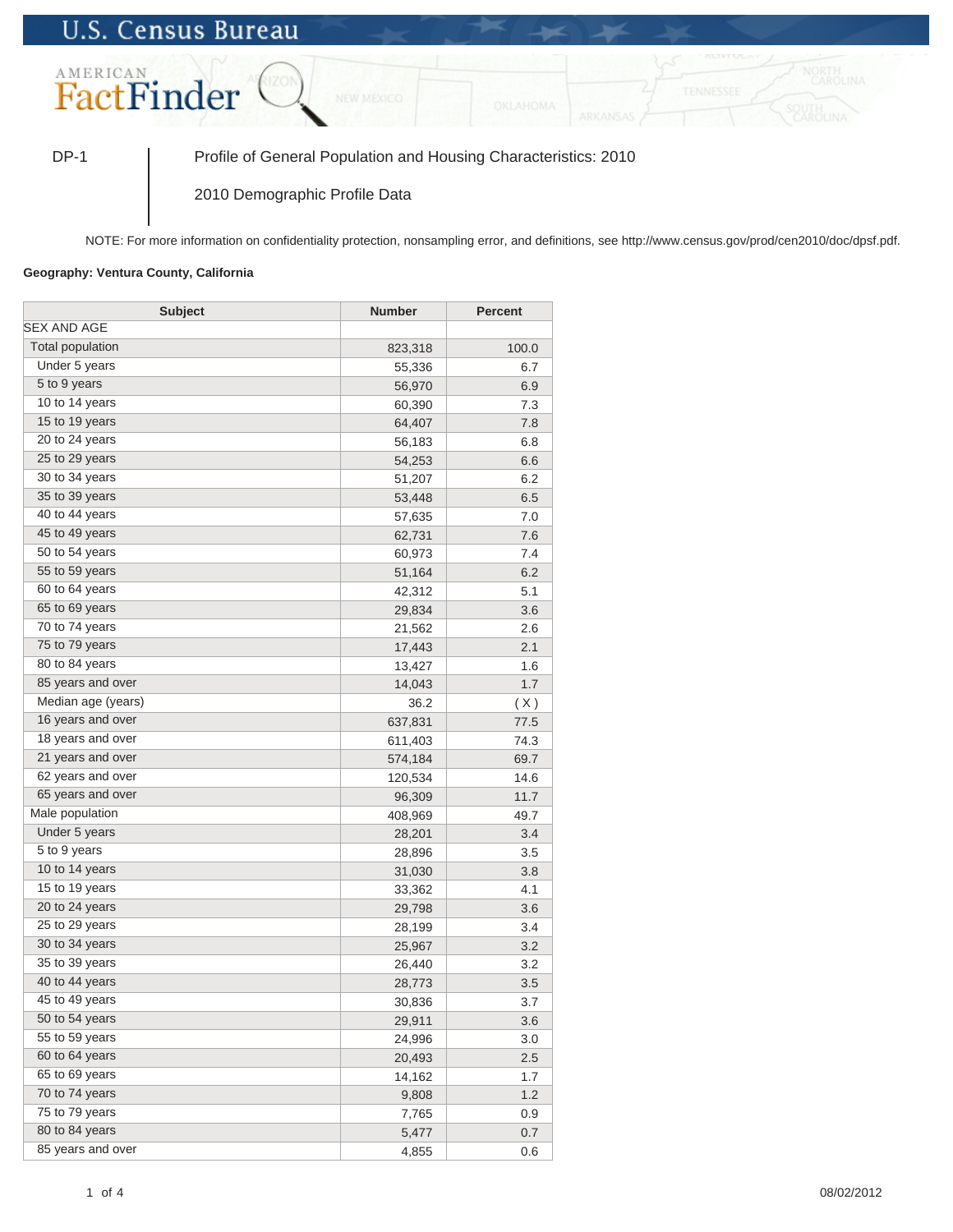## **U.S. Census Bureau**



DP-1 Profile of General Population and Housing Characteristics: 2010

2010 Demographic Profile Data

NOTE: For more information on confidentiality protection, nonsampling error, and definitions, see http://www.census.gov/prod/cen2010/doc/dpsf.pdf.

## **Geography: Ventura County, California**

| <b>Subject</b>     | <b>Number</b> | <b>Percent</b> |
|--------------------|---------------|----------------|
| <b>SEX AND AGE</b> |               |                |
| Total population   | 823,318       | 100.0          |
| Under 5 years      | 55,336        | 6.7            |
| 5 to 9 years       | 56,970        | 6.9            |
| 10 to 14 years     | 60,390        | 7.3            |
| 15 to 19 years     | 64,407        | 7.8            |
| 20 to 24 years     | 56,183        | 6.8            |
| 25 to 29 years     | 54,253        | 6.6            |
| 30 to 34 years     | 51,207        | 6.2            |
| 35 to 39 years     | 53,448        | 6.5            |
| 40 to 44 years     | 57,635        | 7.0            |
| 45 to 49 years     | 62,731        | 7.6            |
| 50 to 54 years     | 60,973        | 7.4            |
| 55 to 59 years     | 51,164        | 6.2            |
| 60 to 64 years     | 42,312        | 5.1            |
| 65 to 69 years     | 29,834        | 3.6            |
| 70 to 74 years     | 21,562        | 2.6            |
| 75 to 79 years     | 17,443        | 2.1            |
| 80 to 84 years     | 13,427        | 1.6            |
| 85 years and over  | 14,043        | 1.7            |
| Median age (years) | 36.2          | (X)            |
| 16 years and over  | 637,831       | 77.5           |
| 18 years and over  | 611,403       | 74.3           |
| 21 years and over  | 574,184       | 69.7           |
| 62 years and over  | 120,534       | 14.6           |
| 65 years and over  | 96,309        | 11.7           |
| Male population    | 408,969       | 49.7           |
| Under 5 years      | 28,201        | 3.4            |
| 5 to 9 years       | 28,896        | 3.5            |
| 10 to 14 years     | 31,030        | 3.8            |
| 15 to 19 years     | 33,362        | 4.1            |
| 20 to 24 years     | 29,798        | 3.6            |
| 25 to 29 years     | 28,199        | 3.4            |
| 30 to 34 years     | 25,967        | 3.2            |
| 35 to 39 years     | 26,440        | 3.2            |
| 40 to 44 years     | 28,773        | 3.5            |
| 45 to 49 years     | 30,836        | 3.7            |
| 50 to 54 years     | 29,911        | 3.6            |
| 55 to 59 years     | 24,996        | 3.0            |
| 60 to 64 years     | 20,493        | 2.5            |
| 65 to 69 years     | 14,162        | 1.7            |
| 70 to 74 years     | 9,808         | 1.2            |
| 75 to 79 years     | 7,765         | 0.9            |
| 80 to 84 years     | 5,477         | 0.7            |
| 85 years and over  | 4,855         | 0.6            |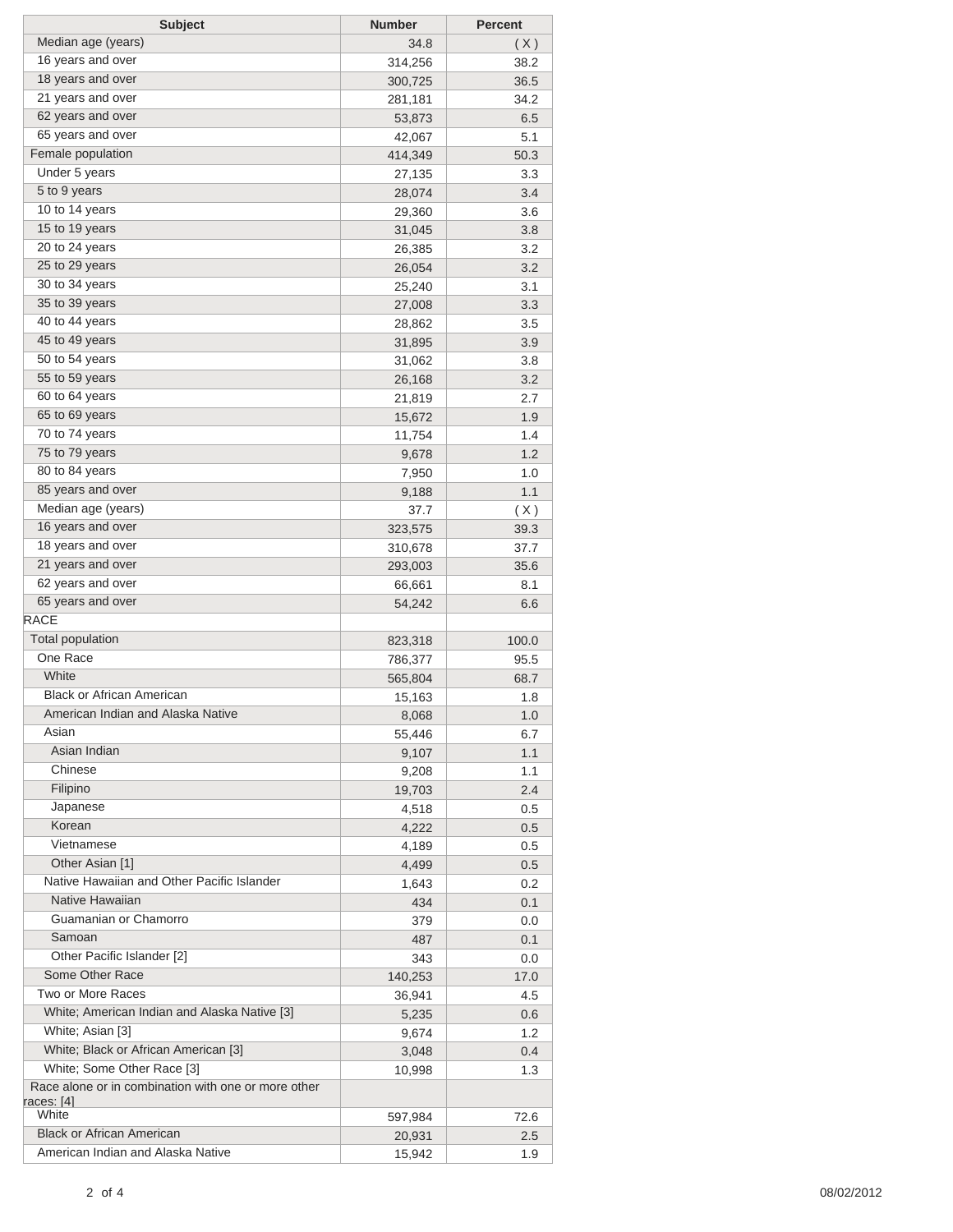| <b>Subject</b>                                                                    | <b>Number</b> | <b>Percent</b> |
|-----------------------------------------------------------------------------------|---------------|----------------|
| Median age (years)                                                                | 34.8          | (X)            |
| 16 years and over                                                                 | 314,256       | 38.2           |
| 18 years and over                                                                 | 300,725       | 36.5           |
| 21 years and over                                                                 | 281,181       | 34.2           |
| 62 years and over                                                                 | 53,873        | 6.5            |
| 65 years and over                                                                 | 42,067        | 5.1            |
| Female population                                                                 | 414,349       | 50.3           |
| Under 5 years                                                                     | 27,135        | 3.3            |
| 5 to 9 years                                                                      | 28,074        | 3.4            |
| 10 to 14 years                                                                    | 29,360        | 3.6            |
| 15 to 19 years                                                                    | 31,045        | 3.8            |
| 20 to 24 years                                                                    | 26,385        | 3.2            |
| 25 to 29 years                                                                    | 26,054        | 3.2            |
| 30 to 34 years                                                                    | 25,240        | 3.1            |
| 35 to 39 years                                                                    | 27,008        | 3.3            |
| 40 to 44 years                                                                    | 28,862        | 3.5            |
| 45 to 49 years                                                                    | 31,895        | 3.9            |
| 50 to 54 years                                                                    | 31,062        | 3.8            |
| 55 to 59 years                                                                    | 26,168        | 3.2            |
| 60 to 64 years                                                                    | 21,819        | 2.7            |
| 65 to 69 years                                                                    | 15,672        | 1.9            |
| 70 to 74 years                                                                    | 11,754        | 1.4            |
| 75 to 79 years                                                                    | 9,678         | 1.2            |
| 80 to 84 years                                                                    | 7,950         | 1.0            |
| 85 years and over                                                                 | 9,188         | 1.1            |
| Median age (years)                                                                | 37.7          | (X)            |
| 16 years and over                                                                 | 323,575       | 39.3           |
| 18 years and over                                                                 | 310,678       | 37.7           |
| 21 years and over                                                                 | 293,003       | 35.6           |
| 62 years and over                                                                 | 66,661        | 8.1            |
| 65 years and over                                                                 | 54,242        | 6.6            |
| <b>RACE</b>                                                                       |               |                |
| <b>Total population</b>                                                           | 823,318       | 100.0          |
| One Race                                                                          | 786,377       | 95.5           |
| White                                                                             | 565,804       | 68.7           |
| <b>Black or African American</b>                                                  | 15,163        | 1.8            |
| American Indian and Alaska Native                                                 | 8,068         | $1.0\,$        |
| Asian                                                                             | 55,446        | 6.7            |
| Asian Indian                                                                      | 9,107         | 1.1            |
| Chinese                                                                           | 9,208         | 1.1            |
| Filipino                                                                          | 19,703        | 2.4            |
| Japanese                                                                          |               |                |
| Korean                                                                            | 4,518         | 0.5            |
| Vietnamese                                                                        | 4,222         | 0.5            |
| Other Asian [1]                                                                   | 4,189         | 0.5            |
| Native Hawaiian and Other Pacific Islander                                        | 4,499         | 0.5            |
| Native Hawaiian                                                                   | 1,643         | 0.2            |
| Guamanian or Chamorro                                                             | 434           | 0.1            |
| Samoan                                                                            | 379           | 0.0            |
| Other Pacific Islander [2]                                                        | 487           | 0.1            |
| Some Other Race                                                                   | 343           | 0.0            |
| Two or More Races                                                                 | 140,253       | 17.0           |
| White; American Indian and Alaska Native [3]                                      | 36,941        | 4.5            |
| White; Asian [3]                                                                  | 5,235         | 0.6            |
| White; Black or African American [3]                                              | 9,674         | 1.2            |
|                                                                                   | 3,048         | 0.4            |
| White; Some Other Race [3]<br>Race alone or in combination with one or more other | 10,998        | 1.3            |
| races: [4]                                                                        |               |                |
| White                                                                             | 597,984       | 72.6           |
| <b>Black or African American</b>                                                  | 20,931        | 2.5            |
| American Indian and Alaska Native                                                 | 15,942        | 1.9            |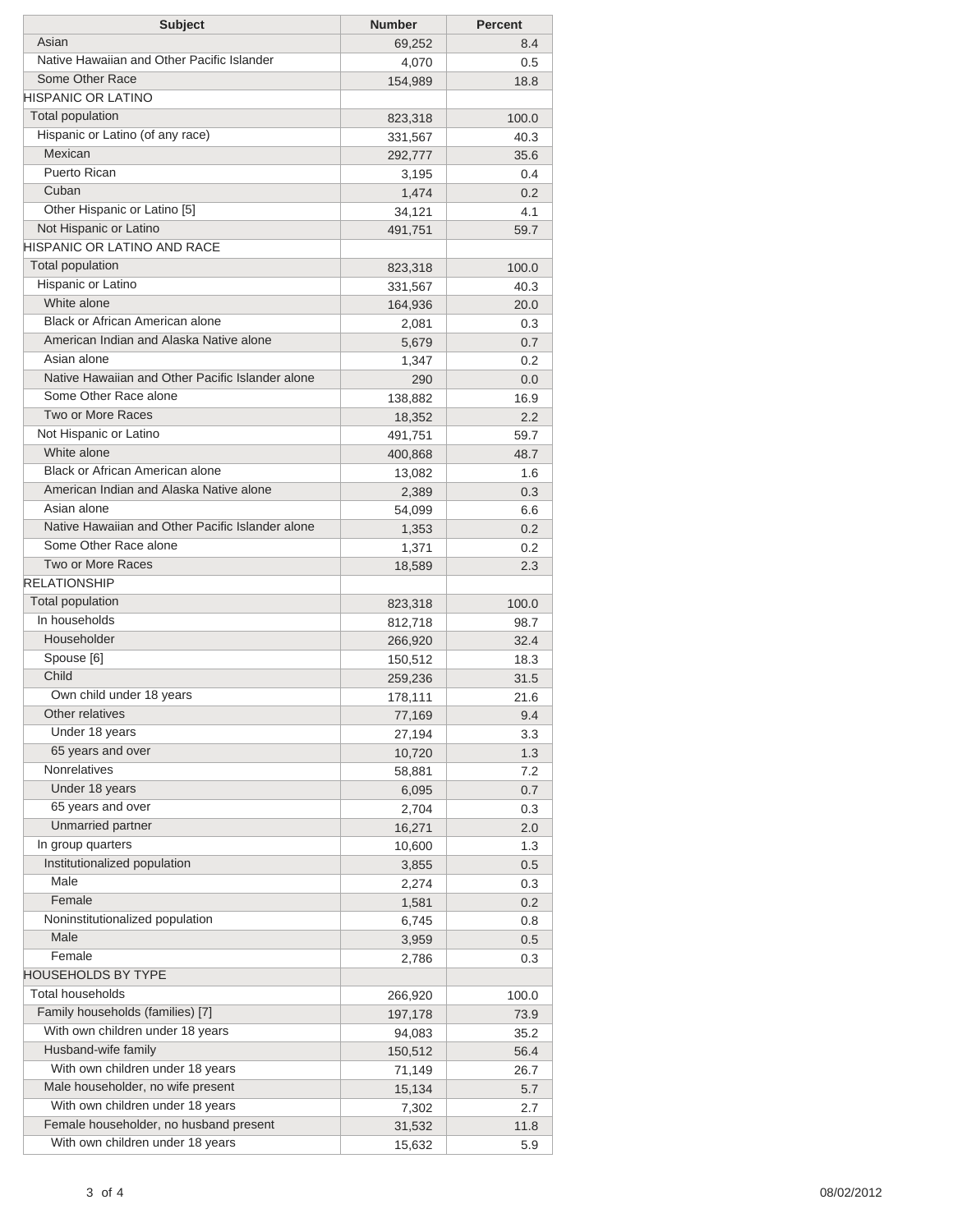| <b>Subject</b>                                   | <b>Number</b> | <b>Percent</b> |
|--------------------------------------------------|---------------|----------------|
| Asian                                            | 69,252        | 8.4            |
| Native Hawaiian and Other Pacific Islander       | 4,070         | 0.5            |
| Some Other Race                                  | 154,989       | 18.8           |
| <b>HISPANIC OR LATINO</b>                        |               |                |
| <b>Total population</b>                          | 823,318       | 100.0          |
| Hispanic or Latino (of any race)                 | 331,567       | 40.3           |
| Mexican                                          | 292,777       | 35.6           |
| <b>Puerto Rican</b>                              | 3,195         | 0.4            |
| Cuban                                            | 1,474         | 0.2            |
| Other Hispanic or Latino [5]                     | 34,121        | 4.1            |
| Not Hispanic or Latino                           | 491,751       | 59.7           |
| <b>HISPANIC OR LATINO AND RACE</b>               |               |                |
| Total population                                 | 823,318       | 100.0          |
| Hispanic or Latino                               | 331,567       | 40.3           |
| White alone                                      | 164,936       | 20.0           |
| Black or African American alone                  | 2,081         | 0.3            |
| American Indian and Alaska Native alone          | 5,679         | 0.7            |
| Asian alone                                      | 1,347         | 0.2            |
| Native Hawaiian and Other Pacific Islander alone | 290           | 0.0            |
| Some Other Race alone                            | 138,882       | 16.9           |
| Two or More Races                                | 18,352        | 2.2            |
| Not Hispanic or Latino                           | 491,751       | 59.7           |
| White alone                                      | 400,868       | 48.7           |
| Black or African American alone                  | 13,082        | 1.6            |
| American Indian and Alaska Native alone          | 2,389         | 0.3            |
| Asian alone                                      | 54,099        | 6.6            |
| Native Hawaiian and Other Pacific Islander alone | 1,353         | 0.2            |
| Some Other Race alone                            | 1,371         | 0.2            |
| Two or More Races                                | 18,589        | 2.3            |
| <b>RELATIONSHIP</b>                              |               |                |
| Total population                                 | 823,318       | 100.0          |
| In households                                    | 812,718       | 98.7           |
| Householder                                      | 266,920       | 32.4           |
| Spouse [6]                                       | 150,512       | 18.3           |
| Child                                            | 259,236       | 31.5           |
| Own child under 18 years                         | 178,111       | 21.6           |
| Other relatives                                  | 77,169        | 9.4            |
| Under 18 years                                   | 27,194        | 3.3            |
| 65 years and over                                | 10,720        | 1.3            |
| Nonrelatives                                     | 58,881        | 7.2            |
| Under 18 years                                   | 6,095         | 0.7            |
| 65 years and over                                | 2,704         | 0.3            |
| Unmarried partner                                | 16,271        | 2.0            |
| In group quarters                                | 10,600        | 1.3            |
| Institutionalized population                     | 3,855         | 0.5            |
| Male                                             | 2,274         | 0.3            |
| Female                                           | 1,581         | 0.2            |
| Noninstitutionalized population                  | 6,745         | 0.8            |
| Male                                             | 3,959         | 0.5            |
| Female                                           | 2,786         | 0.3            |
| <b>HOUSEHOLDS BY TYPE</b>                        |               |                |
| <b>Total households</b>                          | 266,920       | 100.0          |
| Family households (families) [7]                 | 197,178       | 73.9           |
| With own children under 18 years                 | 94,083        | 35.2           |
| Husband-wife family                              | 150,512       | 56.4           |
| With own children under 18 years                 | 71,149        | 26.7           |
| Male householder, no wife present                | 15,134        | 5.7            |
| With own children under 18 years                 | 7,302         | 2.7            |
| Female householder, no husband present           | 31,532        | 11.8           |
| With own children under 18 years                 | 15,632        | 5.9            |